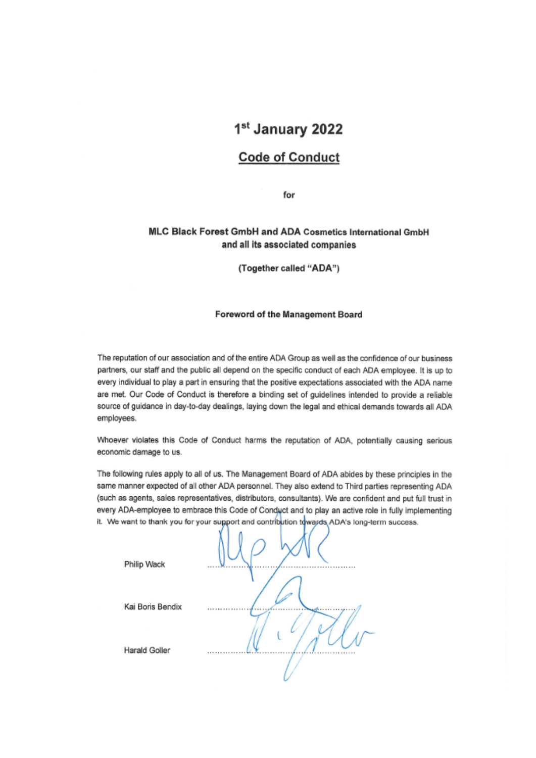# 1st January 2022

## **Code of Conduct**

for

## MLC Black Forest GmbH and ADA Cosmetics International GmbH and all its associated companies

(Together called "ADA")

#### Foreword of the Management Board

The reputation of our association and of the entire ADA Group as well as the confidence of our business partners, our staff and the public all depend on the specific conduct of each ADA employee. It is up to every individual to play a part in ensuring that the positive expectations associated with the ADA name are met. Our Code of Conduct is therefore a binding set of guidelines intended to provide a reliable source of guidance in day-to-day dealings, laying down the legal and ethical demands towards all ADA employees.

Whoever violates this Code of Conduct harms the reputation of ADA, potentially causing serious economic damage to us.

The following rules apply to all of us. The Management Board of ADA abides by these principles in the same manner expected of all other ADA personnel. They also extend to Third parties representing ADA (such as agents, sales representatives, distributors, consultants). We are confident and put full trust in every ADA-employee to embrace this Code of Conduct and to play an active role in fully implementing it. We want to thank you for your support and contribution towards ADA's long-term success.

| Philip Wack      | $\sim$ |
|------------------|--------|
| Kai Boris Bendix |        |
| Harald Goller    |        |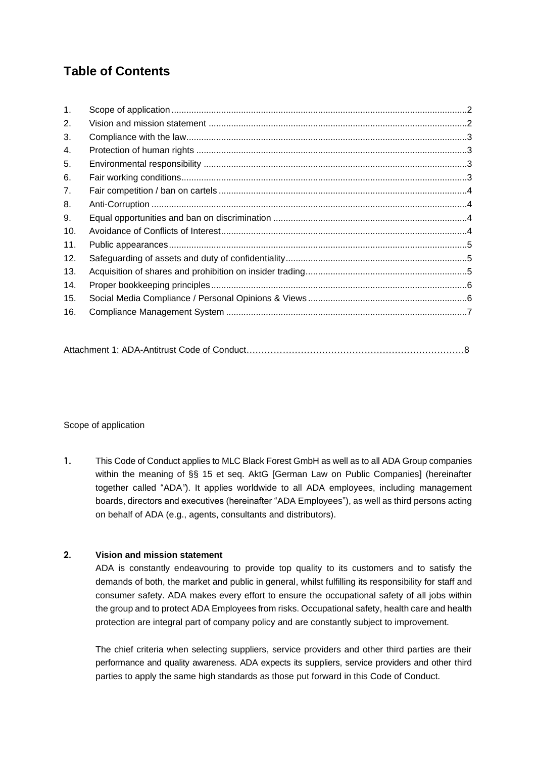## **Table of Contents**

| $\mathbf{1}$ . |  |
|----------------|--|
| 2.             |  |
| 3.             |  |
| 4.             |  |
| 5.             |  |
| 6.             |  |
| 7 <sub>1</sub> |  |
| 8.             |  |
| 9.             |  |
| 10.            |  |
| 11.            |  |
| 12.            |  |
| 13.            |  |
| 14.            |  |
| 15.            |  |
| 16.            |  |

## <span id="page-1-0"></span>Scope of application

**1.** This Code of Conduct applies to MLC Black Forest GmbH as well as to all ADA Group companies within the meaning of §§ 15 et seq. AktG [German Law on Public Companies] (hereinafter together called "ADA*"*). It applies worldwide to all ADA employees, including management boards, directors and executives (hereinafter "ADA Employees"), as well as third persons acting on behalf of ADA (e.g., agents, consultants and distributors).

## <span id="page-1-1"></span>**2. Vision and mission statement**

ADA is constantly endeavouring to provide top quality to its customers and to satisfy the demands of both, the market and public in general, whilst fulfilling its responsibility for staff and consumer safety. ADA makes every effort to ensure the occupational safety of all jobs within the group and to protect ADA Employees from risks. Occupational safety, health care and health protection are integral part of company policy and are constantly subject to improvement.

The chief criteria when selecting suppliers, service providers and other third parties are their performance and quality awareness. ADA expects its suppliers, service providers and other third parties to apply the same high standards as those put forward in this Code of Conduct.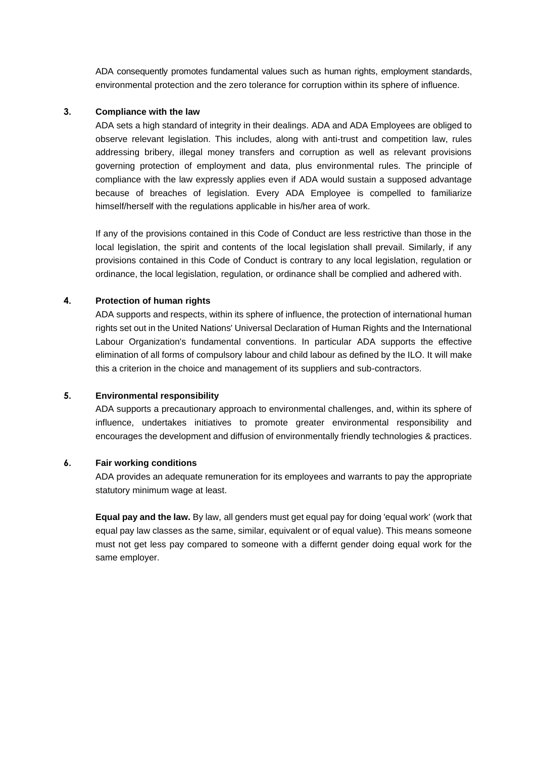ADA consequently promotes fundamental values such as human rights, employment standards, environmental protection and the zero tolerance for corruption within its sphere of influence.

#### <span id="page-2-0"></span>**3. Compliance with the law**

ADA sets a high standard of integrity in their dealings. ADA and ADA Employees are obliged to observe relevant legislation. This includes, along with anti-trust and competition law, rules addressing bribery, illegal money transfers and corruption as well as relevant provisions governing protection of employment and data, plus environmental rules. The principle of compliance with the law expressly applies even if ADA would sustain a supposed advantage because of breaches of legislation. Every ADA Employee is compelled to familiarize himself/herself with the regulations applicable in his/her area of work.

If any of the provisions contained in this Code of Conduct are less restrictive than those in the local legislation, the spirit and contents of the local legislation shall prevail. Similarly, if any provisions contained in this Code of Conduct is contrary to any local legislation, regulation or ordinance, the local legislation, regulation, or ordinance shall be complied and adhered with.

### <span id="page-2-1"></span>**4. Protection of human rights**

ADA supports and respects, within its sphere of influence, the protection of international human rights set out in the United Nations' Universal Declaration of Human Rights and the International Labour Organization's fundamental conventions. In particular ADA supports the effective elimination of all forms of compulsory labour and child labour as defined by the ILO. It will make this a criterion in the choice and management of its suppliers and sub-contractors.

#### <span id="page-2-2"></span>**5. Environmental responsibility**

ADA supports a precautionary approach to environmental challenges, and, within its sphere of influence, undertakes initiatives to promote greater environmental responsibility and encourages the development and diffusion of environmentally friendly technologies & practices.

#### <span id="page-2-3"></span>**6. Fair working conditions**

ADA provides an adequate remuneration for its employees and warrants to pay the appropriate statutory minimum wage at least.

**Equal pay and the law.** By law, all genders must get equal pay for doing 'equal work' (work that equal pay law classes as the same, similar, equivalent or of equal value). This means someone must not get less pay compared to someone with a differnt gender doing equal work for the same employer.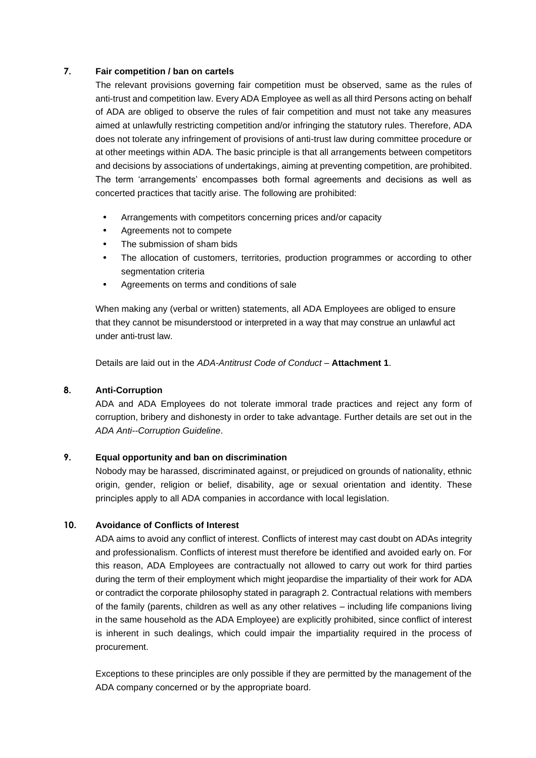### <span id="page-3-0"></span>**7. Fair competition / ban on cartels**

The relevant provisions governing fair competition must be observed, same as the rules of anti-trust and competition law. Every ADA Employee as well as all third Persons acting on behalf of ADA are obliged to observe the rules of fair competition and must not take any measures aimed at unlawfully restricting competition and/or infringing the statutory rules. Therefore, ADA does not tolerate any infringement of provisions of anti-trust law during committee procedure or at other meetings within ADA. The basic principle is that all arrangements between competitors and decisions by associations of undertakings, aiming at preventing competition, are prohibited. The term 'arrangements' encompasses both formal agreements and decisions as well as concerted practices that tacitly arise. The following are prohibited:

- Arrangements with competitors concerning prices and/or capacity
- Agreements not to compete
- The submission of sham bids
- The allocation of customers, territories, production programmes or according to other segmentation criteria
- Agreements on terms and conditions of sale

When making any (verbal or written) statements, all ADA Employees are obliged to ensure that they cannot be misunderstood or interpreted in a way that may construe an unlawful act under anti-trust law.

Details are laid out in the *ADA-Antitrust Code of Conduct* – **Attachment 1**.

## <span id="page-3-1"></span>**8. Anti-Corruption**

ADA and ADA Employees do not tolerate immoral trade practices and reject any form of corruption, bribery and dishonesty in order to take advantage. Further details are set out in the *ADA Anti--Corruption Guideline*.

### <span id="page-3-2"></span>**9. Equal opportunity and ban on discrimination**

Nobody may be harassed, discriminated against, or prejudiced on grounds of nationality, ethnic origin, gender, religion or belief, disability, age or sexual orientation and identity. These principles apply to all ADA companies in accordance with local legislation.

### <span id="page-3-3"></span>**10. Avoidance of Conflicts of Interest**

ADA aims to avoid any conflict of interest. Conflicts of interest may cast doubt on ADAs integrity and professionalism. Conflicts of interest must therefore be identified and avoided early on. For this reason, ADA Employees are contractually not allowed to carry out work for third parties during the term of their employment which might jeopardise the impartiality of their work for ADA or contradict the corporate philosophy stated in paragraph 2. Contractual relations with members of the family (parents, children as well as any other relatives – including life companions living in the same household as the ADA Employee) are explicitly prohibited, since conflict of interest is inherent in such dealings, which could impair the impartiality required in the process of procurement.

Exceptions to these principles are only possible if they are permitted by the management of the ADA company concerned or by the appropriate board.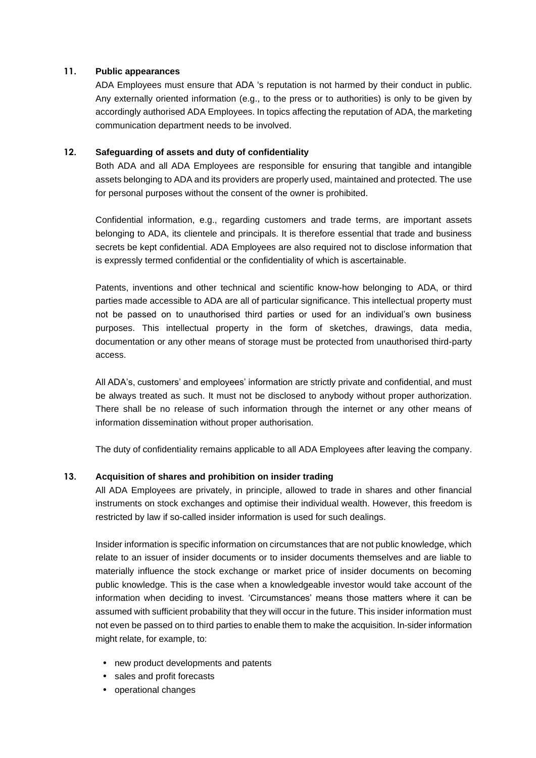#### <span id="page-4-0"></span>**11. Public appearances**

ADA Employees must ensure that ADA 's reputation is not harmed by their conduct in public. Any externally oriented information (e.g., to the press or to authorities) is only to be given by accordingly authorised ADA Employees. In topics affecting the reputation of ADA, the marketing communication department needs to be involved.

#### <span id="page-4-1"></span>**12. Safeguarding of assets and duty of confidentiality**

Both ADA and all ADA Employees are responsible for ensuring that tangible and intangible assets belonging to ADA and its providers are properly used, maintained and protected. The use for personal purposes without the consent of the owner is prohibited.

Confidential information, e.g., regarding customers and trade terms, are important assets belonging to ADA, its clientele and principals. It is therefore essential that trade and business secrets be kept confidential. ADA Employees are also required not to disclose information that is expressly termed confidential or the confidentiality of which is ascertainable.

Patents, inventions and other technical and scientific know-how belonging to ADA, or third parties made accessible to ADA are all of particular significance. This intellectual property must not be passed on to unauthorised third parties or used for an individual's own business purposes. This intellectual property in the form of sketches, drawings, data media, documentation or any other means of storage must be protected from unauthorised third-party access.

All ADA's, customers' and employees' information are strictly private and confidential, and must be always treated as such. It must not be disclosed to anybody without proper authorization. There shall be no release of such information through the internet or any other means of information dissemination without proper authorisation.

The duty of confidentiality remains applicable to all ADA Employees after leaving the company.

### <span id="page-4-2"></span>**13. Acquisition of shares and prohibition on insider trading**

All ADA Employees are privately, in principle, allowed to trade in shares and other financial instruments on stock exchanges and optimise their individual wealth. However, this freedom is restricted by law if so-called insider information is used for such dealings.

Insider information is specific information on circumstances that are not public knowledge, which relate to an issuer of insider documents or to insider documents themselves and are liable to materially influence the stock exchange or market price of insider documents on becoming public knowledge. This is the case when a knowledgeable investor would take account of the information when deciding to invest. 'Circumstances' means those matters where it can be assumed with sufficient probability that they will occur in the future. This insider information must not even be passed on to third parties to enable them to make the acquisition. In-sider information might relate, for example, to:

- new product developments and patents
- sales and profit forecasts
- operational changes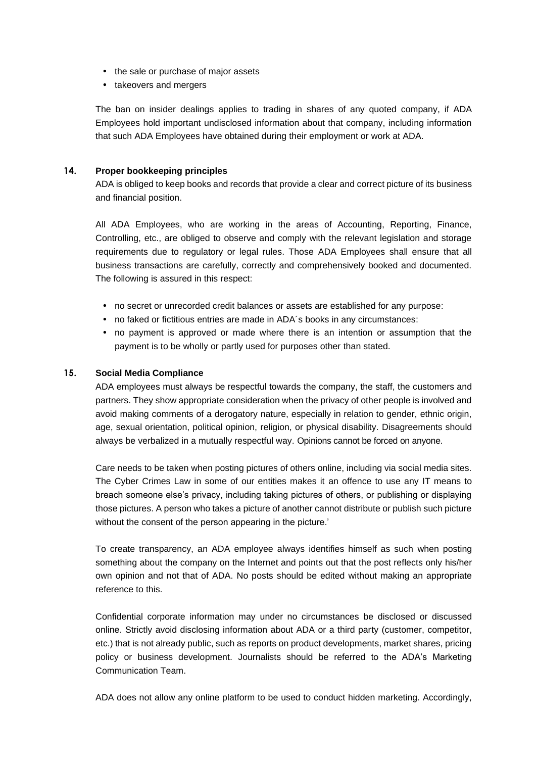- the sale or purchase of major assets
- takeovers and mergers

The ban on insider dealings applies to trading in shares of any quoted company, if ADA Employees hold important undisclosed information about that company, including information that such ADA Employees have obtained during their employment or work at ADA.

## <span id="page-5-0"></span>**14. Proper bookkeeping principles**

ADA is obliged to keep books and records that provide a clear and correct picture of its business and financial position.

All ADA Employees, who are working in the areas of Accounting, Reporting, Finance, Controlling, etc., are obliged to observe and comply with the relevant legislation and storage requirements due to regulatory or legal rules. Those ADA Employees shall ensure that all business transactions are carefully, correctly and comprehensively booked and documented. The following is assured in this respect:

- no secret or unrecorded credit balances or assets are established for any purpose:
- no faked or fictitious entries are made in ADA´s books in any circumstances:
- no payment is approved or made where there is an intention or assumption that the payment is to be wholly or partly used for purposes other than stated.

### <span id="page-5-1"></span>**15. Social Media Compliance**

ADA employees must always be respectful towards the company, the staff, the customers and partners. They show appropriate consideration when the privacy of other people is involved and avoid making comments of a derogatory nature, especially in relation to gender, ethnic origin, age, sexual orientation, political opinion, religion, or physical disability. Disagreements should always be verbalized in a mutually respectful way. Opinions cannot be forced on anyone.

Care needs to be taken when posting pictures of others online, including via social media sites. The Cyber Crimes Law in some of our entities makes it an offence to use any IT means to breach someone else's privacy, including taking pictures of others, or publishing or displaying those pictures. A person who takes a picture of another cannot distribute or publish such picture without the consent of the person appearing in the picture.'

To create transparency, an ADA employee always identifies himself as such when posting something about the company on the Internet and points out that the post reflects only his/her own opinion and not that of ADA. No posts should be edited without making an appropriate reference to this.

Confidential corporate information may under no circumstances be disclosed or discussed online. Strictly avoid disclosing information about ADA or a third party (customer, competitor, etc.) that is not already public, such as reports on product developments, market shares, pricing policy or business development. Journalists should be referred to the ADA's Marketing Communication Team.

ADA does not allow any online platform to be used to conduct hidden marketing. Accordingly,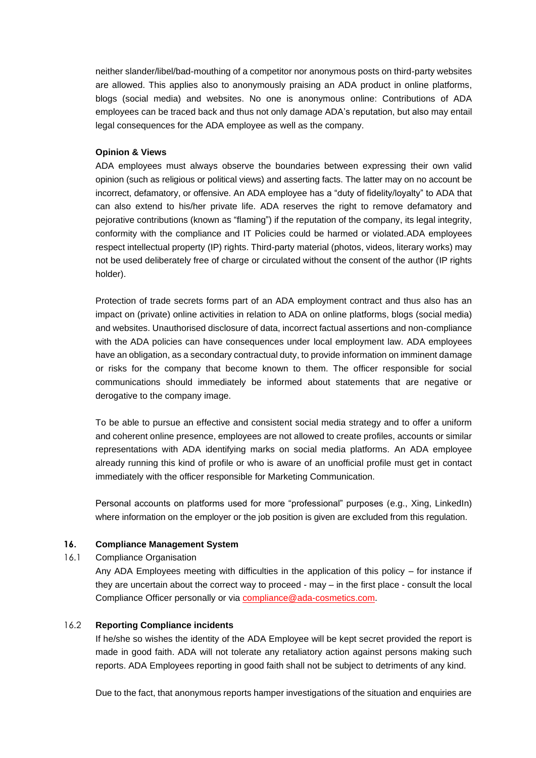neither slander/libel/bad-mouthing of a competitor nor anonymous posts on third-party websites are allowed. This applies also to anonymously praising an ADA product in online platforms, blogs (social media) and websites. No one is anonymous online: Contributions of ADA employees can be traced back and thus not only damage ADA's reputation, but also may entail legal consequences for the ADA employee as well as the company.

### **Opinion & Views**

ADA employees must always observe the boundaries between expressing their own valid opinion (such as religious or political views) and asserting facts. The latter may on no account be incorrect, defamatory, or offensive. An ADA employee has a "duty of fidelity/loyalty" to ADA that can also extend to his/her private life. ADA reserves the right to remove defamatory and pejorative contributions (known as "flaming") if the reputation of the company, its legal integrity, conformity with the compliance and IT Policies could be harmed or violated.ADA employees respect intellectual property (IP) rights. Third-party material (photos, videos, literary works) may not be used deliberately free of charge or circulated without the consent of the author (IP rights holder).

Protection of trade secrets forms part of an ADA employment contract and thus also has an impact on (private) online activities in relation to ADA on online platforms, blogs (social media) and websites. Unauthorised disclosure of data, incorrect factual assertions and non-compliance with the ADA policies can have consequences under local employment law. ADA employees have an obligation, as a secondary contractual duty, to provide information on imminent damage or risks for the company that become known to them. The officer responsible for social communications should immediately be informed about statements that are negative or derogative to the company image.

To be able to pursue an effective and consistent social media strategy and to offer a uniform and coherent online presence, employees are not allowed to create profiles, accounts or similar representations with ADA identifying marks on social media platforms. An ADA employee already running this kind of profile or who is aware of an unofficial profile must get in contact immediately with the officer responsible for Marketing Communication.

Personal accounts on platforms used for more "professional" purposes (e.g., Xing, LinkedIn) where information on the employer or the job position is given are excluded from this regulation.

### <span id="page-6-0"></span>**16. Compliance Management System**

16.1 Compliance Organisation

Any ADA Employees meeting with difficulties in the application of this policy – for instance if they are uncertain about the correct way to proceed - may – in the first place - consult the local Compliance Officer personally or via compliance@ada-cosmetics.com.

#### 16.2 **Reporting Compliance incidents**

If he/she so wishes the identity of the ADA Employee will be kept secret provided the report is made in good faith. ADA will not tolerate any retaliatory action against persons making such reports. ADA Employees reporting in good faith shall not be subject to detriments of any kind.

Due to the fact, that anonymous reports hamper investigations of the situation and enquiries are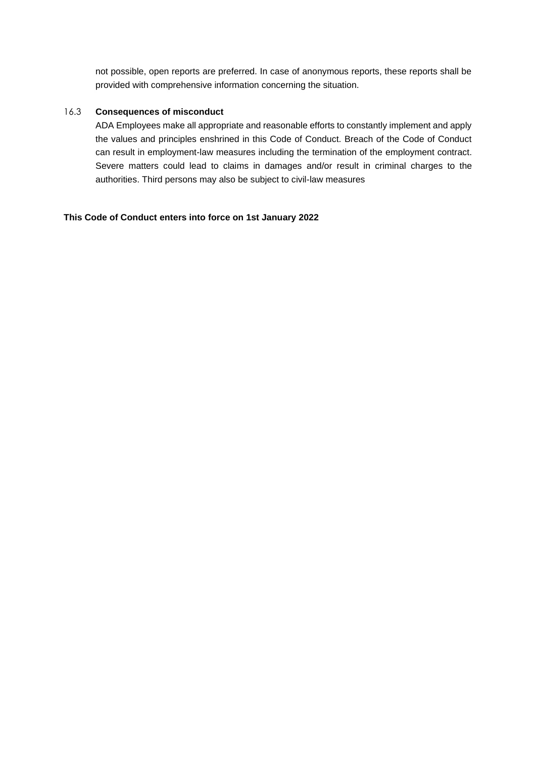not possible, open reports are preferred. In case of anonymous reports, these reports shall be provided with comprehensive information concerning the situation.

#### 16.3 **Consequences of misconduct**

ADA Employees make all appropriate and reasonable efforts to constantly implement and apply the values and principles enshrined in this Code of Conduct. Breach of the Code of Conduct can result in employment-law measures including the termination of the employment contract. Severe matters could lead to claims in damages and/or result in criminal charges to the authorities. Third persons may also be subject to civil-law measures

#### **This Code of Conduct enters into force on 1st January 2022**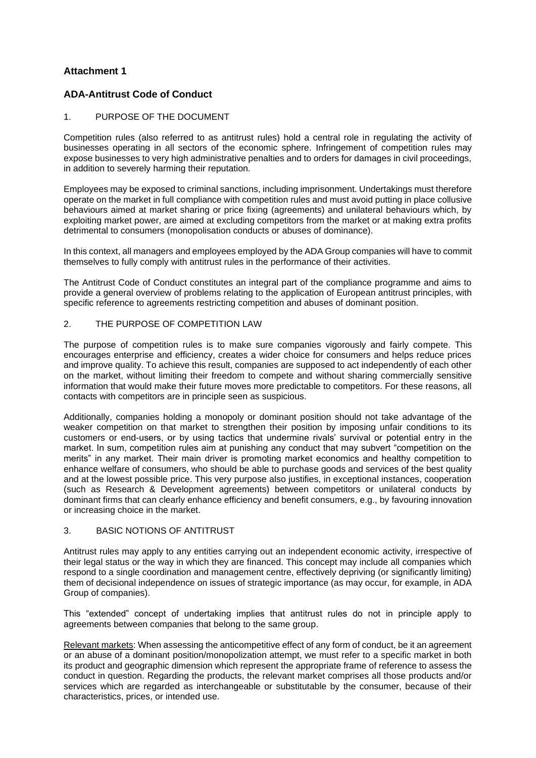## **Attachment 1**

## **ADA-Antitrust Code of Conduct**

#### 1. PURPOSE OF THE DOCUMENT

Competition rules (also referred to as antitrust rules) hold a central role in regulating the activity of businesses operating in all sectors of the economic sphere. Infringement of competition rules may expose businesses to very high administrative penalties and to orders for damages in civil proceedings, in addition to severely harming their reputation.

Employees may be exposed to criminal sanctions, including imprisonment. Undertakings must therefore operate on the market in full compliance with competition rules and must avoid putting in place collusive behaviours aimed at market sharing or price fixing (agreements) and unilateral behaviours which, by exploiting market power, are aimed at excluding competitors from the market or at making extra profits detrimental to consumers (monopolisation conducts or abuses of dominance).

In this context, all managers and employees employed by the ADA Group companies will have to commit themselves to fully comply with antitrust rules in the performance of their activities.

The Antitrust Code of Conduct constitutes an integral part of the compliance programme and aims to provide a general overview of problems relating to the application of European antitrust principles, with specific reference to agreements restricting competition and abuses of dominant position.

#### 2. THE PURPOSE OF COMPETITION LAW

The purpose of competition rules is to make sure companies vigorously and fairly compete. This encourages enterprise and efficiency, creates a wider choice for consumers and helps reduce prices and improve quality. To achieve this result, companies are supposed to act independently of each other on the market, without limiting their freedom to compete and without sharing commercially sensitive information that would make their future moves more predictable to competitors. For these reasons, all contacts with competitors are in principle seen as suspicious.

Additionally, companies holding a monopoly or dominant position should not take advantage of the weaker competition on that market to strengthen their position by imposing unfair conditions to its customers or end-users, or by using tactics that undermine rivals' survival or potential entry in the market. In sum, competition rules aim at punishing any conduct that may subvert "competition on the merits" in any market. Their main driver is promoting market economics and healthy competition to enhance welfare of consumers, who should be able to purchase goods and services of the best quality and at the lowest possible price. This very purpose also justifies, in exceptional instances, cooperation (such as Research & Development agreements) between competitors or unilateral conducts by dominant firms that can clearly enhance efficiency and benefit consumers, e.g., by favouring innovation or increasing choice in the market.

### 3. BASIC NOTIONS OF ANTITRUST

Antitrust rules may apply to any entities carrying out an independent economic activity, irrespective of their legal status or the way in which they are financed. This concept may include all companies which respond to a single coordination and management centre, effectively depriving (or significantly limiting) them of decisional independence on issues of strategic importance (as may occur, for example, in ADA Group of companies).

This "extended" concept of undertaking implies that antitrust rules do not in principle apply to agreements between companies that belong to the same group.

Relevant markets: When assessing the anticompetitive effect of any form of conduct, be it an agreement or an abuse of a dominant position/monopolization attempt, we must refer to a specific market in both its product and geographic dimension which represent the appropriate frame of reference to assess the conduct in question. Regarding the products, the relevant market comprises all those products and/or services which are regarded as interchangeable or substitutable by the consumer, because of their characteristics, prices, or intended use.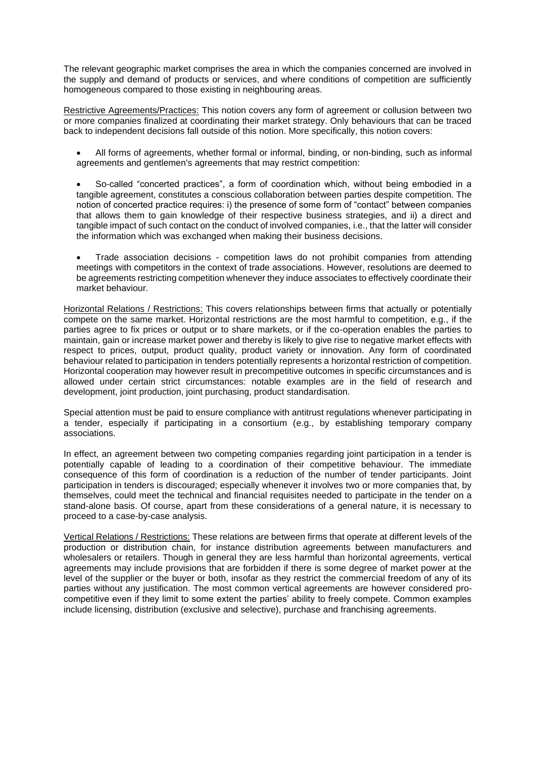The relevant geographic market comprises the area in which the companies concerned are involved in the supply and demand of products or services, and where conditions of competition are sufficiently homogeneous compared to those existing in neighbouring areas.

Restrictive Agreements/Practices: This notion covers any form of agreement or collusion between two or more companies finalized at coordinating their market strategy. Only behaviours that can be traced back to independent decisions fall outside of this notion. More specifically, this notion covers:

- All forms of agreements, whether formal or informal, binding, or non-binding, such as informal agreements and gentlemen's agreements that may restrict competition:
- So-called "concerted practices", a form of coordination which, without being embodied in a tangible agreement, constitutes a conscious collaboration between parties despite competition. The notion of concerted practice requires: i) the presence of some form of "contact" between companies that allows them to gain knowledge of their respective business strategies, and ii) a direct and tangible impact of such contact on the conduct of involved companies, i.e., that the latter will consider the information which was exchanged when making their business decisions.
- Trade association decisions competition laws do not prohibit companies from attending meetings with competitors in the context of trade associations. However, resolutions are deemed to be agreements restricting competition whenever they induce associates to effectively coordinate their market behaviour.

Horizontal Relations / Restrictions: This covers relationships between firms that actually or potentially compete on the same market. Horizontal restrictions are the most harmful to competition, e.g., if the parties agree to fix prices or output or to share markets, or if the co-operation enables the parties to maintain, gain or increase market power and thereby is likely to give rise to negative market effects with respect to prices, output, product quality, product variety or innovation. Any form of coordinated behaviour related to participation in tenders potentially represents a horizontal restriction of competition. Horizontal cooperation may however result in precompetitive outcomes in specific circumstances and is allowed under certain strict circumstances: notable examples are in the field of research and development, joint production, joint purchasing, product standardisation.

Special attention must be paid to ensure compliance with antitrust regulations whenever participating in a tender, especially if participating in a consortium (e.g., by establishing temporary company associations.

In effect, an agreement between two competing companies regarding joint participation in a tender is potentially capable of leading to a coordination of their competitive behaviour. The immediate consequence of this form of coordination is a reduction of the number of tender participants. Joint participation in tenders is discouraged; especially whenever it involves two or more companies that, by themselves, could meet the technical and financial requisites needed to participate in the tender on a stand-alone basis. Of course, apart from these considerations of a general nature, it is necessary to proceed to a case-by-case analysis.

Vertical Relations / Restrictions: These relations are between firms that operate at different levels of the production or distribution chain, for instance distribution agreements between manufacturers and wholesalers or retailers. Though in general they are less harmful than horizontal agreements, vertical agreements may include provisions that are forbidden if there is some degree of market power at the level of the supplier or the buyer or both, insofar as they restrict the commercial freedom of any of its parties without any justification. The most common vertical agreements are however considered procompetitive even if they limit to some extent the parties' ability to freely compete. Common examples include licensing, distribution (exclusive and selective), purchase and franchising agreements.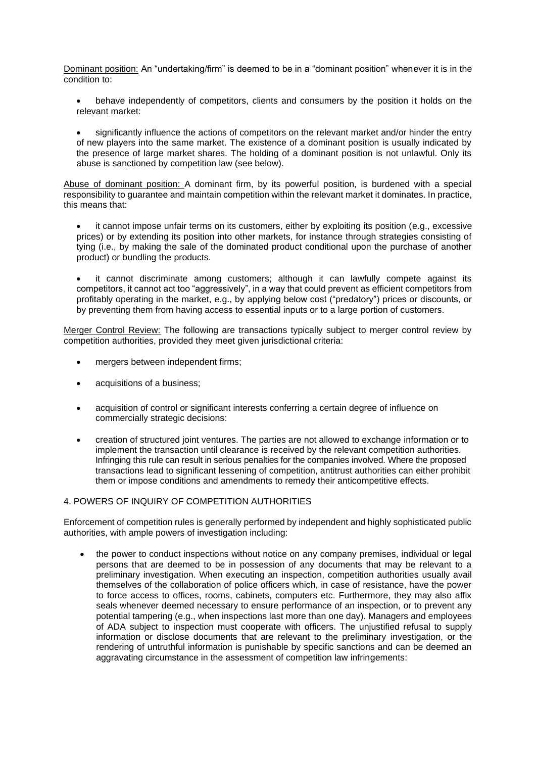Dominant position: An "undertaking/firm" is deemed to be in a "dominant position" whenever it is in the condition to:

- behave independently of competitors, clients and consumers by the position it holds on the relevant market:
- significantly influence the actions of competitors on the relevant market and/or hinder the entry of new players into the same market. The existence of a dominant position is usually indicated by the presence of large market shares. The holding of a dominant position is not unlawful. Only its abuse is sanctioned by competition law (see below).

Abuse of dominant position: A dominant firm, by its powerful position, is burdened with a special responsibility to guarantee and maintain competition within the relevant market it dominates. In practice, this means that:

- it cannot impose unfair terms on its customers, either by exploiting its position (e.g., excessive prices) or by extending its position into other markets, for instance through strategies consisting of tying (i.e., by making the sale of the dominated product conditional upon the purchase of another product) or bundling the products.
- it cannot discriminate among customers; although it can lawfully compete against its competitors, it cannot act too "aggressively", in a way that could prevent as efficient competitors from profitably operating in the market, e.g., by applying below cost ("predatory") prices or discounts, or by preventing them from having access to essential inputs or to a large portion of customers.

Merger Control Review: The following are transactions typically subject to merger control review by competition authorities, provided they meet given jurisdictional criteria:

- mergers between independent firms;
- acquisitions of a business;
- acquisition of control or significant interests conferring a certain degree of influence on commercially strategic decisions:
- creation of structured joint ventures. The parties are not allowed to exchange information or to implement the transaction until clearance is received by the relevant competition authorities. Infringing this rule can result in serious penalties for the companies involved. Where the proposed transactions lead to significant lessening of competition, antitrust authorities can either prohibit them or impose conditions and amendments to remedy their anticompetitive effects.

### 4. POWERS OF INQUIRY OF COMPETITION AUTHORITIES

Enforcement of competition rules is generally performed by independent and highly sophisticated public authorities, with ample powers of investigation including:

• the power to conduct inspections without notice on any company premises, individual or legal persons that are deemed to be in possession of any documents that may be relevant to a preliminary investigation. When executing an inspection, competition authorities usually avail themselves of the collaboration of police officers which, in case of resistance, have the power to force access to offices, rooms, cabinets, computers etc. Furthermore, they may also affix seals whenever deemed necessary to ensure performance of an inspection, or to prevent any potential tampering (e.g., when inspections last more than one day). Managers and employees of ADA subject to inspection must cooperate with officers. The unjustified refusal to supply information or disclose documents that are relevant to the preliminary investigation, or the rendering of untruthful information is punishable by specific sanctions and can be deemed an aggravating circumstance in the assessment of competition law infringements: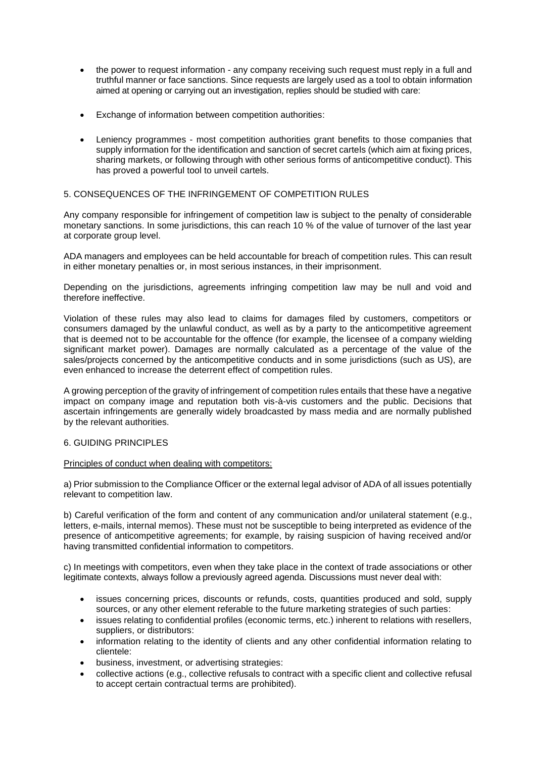- the power to request information any company receiving such request must reply in a full and truthful manner or face sanctions. Since requests are largely used as a tool to obtain information aimed at opening or carrying out an investigation, replies should be studied with care:
- Exchange of information between competition authorities:
- Leniency programmes most competition authorities grant benefits to those companies that supply information for the identification and sanction of secret cartels (which aim at fixing prices, sharing markets, or following through with other serious forms of anticompetitive conduct). This has proved a powerful tool to unveil cartels.

#### 5. CONSEQUENCES OF THE INFRINGEMENT OF COMPETITION RULES

Any company responsible for infringement of competition law is subject to the penalty of considerable monetary sanctions. In some jurisdictions, this can reach 10 % of the value of turnover of the last year at corporate group level.

ADA managers and employees can be held accountable for breach of competition rules. This can result in either monetary penalties or, in most serious instances, in their imprisonment.

Depending on the jurisdictions, agreements infringing competition law may be null and void and therefore ineffective.

Violation of these rules may also lead to claims for damages filed by customers, competitors or consumers damaged by the unlawful conduct, as well as by a party to the anticompetitive agreement that is deemed not to be accountable for the offence (for example, the licensee of a company wielding significant market power). Damages are normally calculated as a percentage of the value of the sales/projects concerned by the anticompetitive conducts and in some jurisdictions (such as US), are even enhanced to increase the deterrent effect of competition rules.

A growing perception of the gravity of infringement of competition rules entails that these have a negative impact on company image and reputation both vis-à-vis customers and the public. Decisions that ascertain infringements are generally widely broadcasted by mass media and are normally published by the relevant authorities.

#### 6. GUIDING PRINCIPLES

#### Principles of conduct when dealing with competitors:

a) Prior submission to the Compliance Officer or the external legal advisor of ADA of all issues potentially relevant to competition law.

b) Careful verification of the form and content of any communication and/or unilateral statement (e.g., letters, e-mails, internal memos). These must not be susceptible to being interpreted as evidence of the presence of anticompetitive agreements; for example, by raising suspicion of having received and/or having transmitted confidential information to competitors.

c) In meetings with competitors, even when they take place in the context of trade associations or other legitimate contexts, always follow a previously agreed agenda. Discussions must never deal with:

- issues concerning prices, discounts or refunds, costs, quantities produced and sold, supply sources, or any other element referable to the future marketing strategies of such parties:
- issues relating to confidential profiles (economic terms, etc.) inherent to relations with resellers, suppliers, or distributors:
- information relating to the identity of clients and any other confidential information relating to clientele:
- business, investment, or advertising strategies:
- collective actions (e.g., collective refusals to contract with a specific client and collective refusal to accept certain contractual terms are prohibited).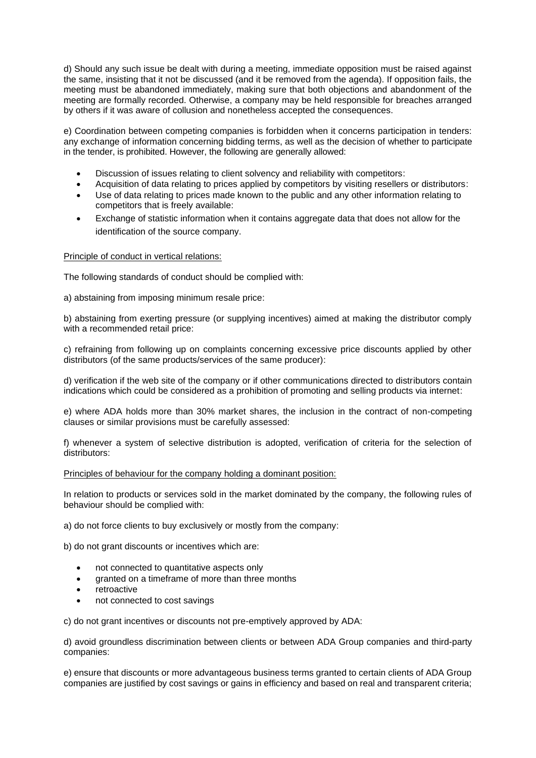d) Should any such issue be dealt with during a meeting, immediate opposition must be raised against the same, insisting that it not be discussed (and it be removed from the agenda). If opposition fails, the meeting must be abandoned immediately, making sure that both objections and abandonment of the meeting are formally recorded. Otherwise, a company may be held responsible for breaches arranged by others if it was aware of collusion and nonetheless accepted the consequences.

e) Coordination between competing companies is forbidden when it concerns participation in tenders: any exchange of information concerning bidding terms, as well as the decision of whether to participate in the tender, is prohibited. However, the following are generally allowed:

- Discussion of issues relating to client solvency and reliability with competitors:
- Acquisition of data relating to prices applied by competitors by visiting resellers or distributors:
- Use of data relating to prices made known to the public and any other information relating to competitors that is freely available:
- Exchange of statistic information when it contains aggregate data that does not allow for the identification of the source company.

#### Principle of conduct in vertical relations:

The following standards of conduct should be complied with:

a) abstaining from imposing minimum resale price:

b) abstaining from exerting pressure (or supplying incentives) aimed at making the distributor comply with a recommended retail price:

c) refraining from following up on complaints concerning excessive price discounts applied by other distributors (of the same products/services of the same producer):

d) verification if the web site of the company or if other communications directed to distributors contain indications which could be considered as a prohibition of promoting and selling products via internet:

e) where ADA holds more than 30% market shares, the inclusion in the contract of non-competing clauses or similar provisions must be carefully assessed:

f) whenever a system of selective distribution is adopted, verification of criteria for the selection of distributors:

#### Principles of behaviour for the company holding a dominant position:

In relation to products or services sold in the market dominated by the company, the following rules of behaviour should be complied with:

a) do not force clients to buy exclusively or mostly from the company:

b) do not grant discounts or incentives which are:

- not connected to quantitative aspects only
- granted on a timeframe of more than three months
- retroactive
- not connected to cost savings

c) do not grant incentives or discounts not pre-emptively approved by ADA:

d) avoid groundless discrimination between clients or between ADA Group companies and third-party companies:

e) ensure that discounts or more advantageous business terms granted to certain clients of ADA Group companies are justified by cost savings or gains in efficiency and based on real and transparent criteria;